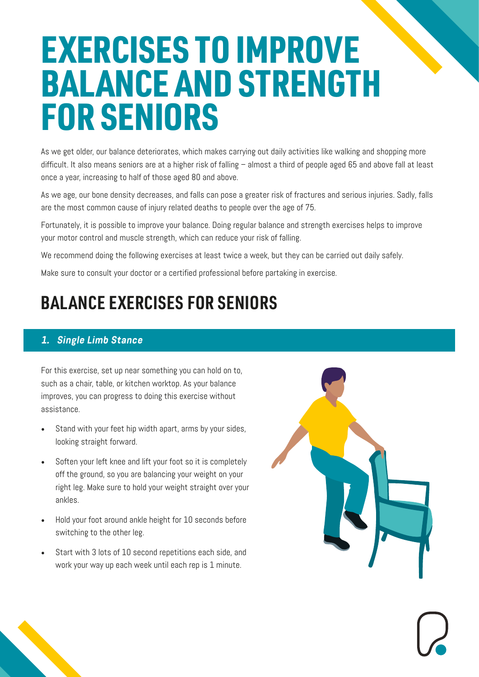# EXERCISES TO IMPROVE BALANCE AND STRENGTH FOR SENIORS

As we get older, our balance deteriorates, which makes carrying out daily activities like walking and shopping more difficult. It also means seniors are at a higher risk of falling – almost a third of people aged 65 and above fall at least once a year, increasing to half of those aged 80 and above.

As we age, our bone density decreases, and falls can pose a greater risk of fractures and serious injuries. Sadly, falls are the most common cause of injury related deaths to people over the age of 75.

Fortunately, it is possible to improve your balance. Doing regular balance and strength exercises helps to improve your motor control and muscle strength, which can reduce your risk of falling.

We recommend doing the following exercises at least twice a week, but they can be carried out daily safely.

Make sure to consult your doctor or a certified professional before partaking in exercise.

## **BALANCE EXERCISES FOR SENIORS**

#### **1. Single Limb Stance**

For this exercise, set up near something you can hold on to, such as a chair, table, or kitchen worktop. As your balance improves, you can progress to doing this exercise without assistance.

- Stand with your feet hip width apart, arms by your sides, looking straight forward.
- Soften your left knee and lift your foot so it is completely off the ground, so you are balancing your weight on your right leg. Make sure to hold your weight straight over your ankles.
- Hold your foot around ankle height for 10 seconds before switching to the other leg.
- Start with 3 lots of 10 second repetitions each side, and work your way up each week until each rep is 1 minute.

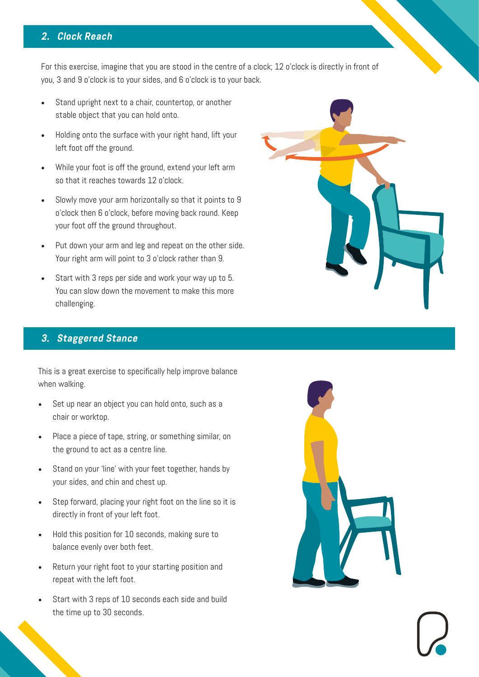#### **2. Clock Reach**

For this exercise, imagine that you are stood in the centre of a clock; 12 o'clock is directly in front of you, 3 and 9 o'clock is to your sides, and 6 o'clock is to your back.

- Stand upright next to a chair, countertop, or another stable object that you can hold onto.
- Holding onto the surface with your right hand, lift your left foot off the ground.
- While your foot is off the ground, extend your left arm so that it reaches towards 12 o'clock.
- Slowly move your arm horizontally so that it points to 9 o'clock then 6 o'clock, before moving back round. Keep your foot off the ground throughout.
- Put down your arm and leg and repeat on the other side. Your right arm will point to 3 o'clock rather than 9.
- Start with 3 reps per side and work your way up to 5. You can slow down the movement to make this more challenging.

#### **3. Staggered Stance**

This is a great exercise to specifically help improve balance when walking.

- Set up near an object you can hold onto, such as a chair or worktop.
- Place a piece of tape, string, or something similar, on the ground to act as a centre line.
- Stand on your 'line' with your feet together, hands by your sides, and chin and chest up.
- Step forward, placing your right foot on the line so it is directly in front of your left foot.
- Hold this position for 10 seconds, making sure to balance evenly over both feet.
- Return your right foot to your starting position and repeat with the left foot.
- Start with 3 reps of 10 seconds each side and build the time up to 30 seconds.



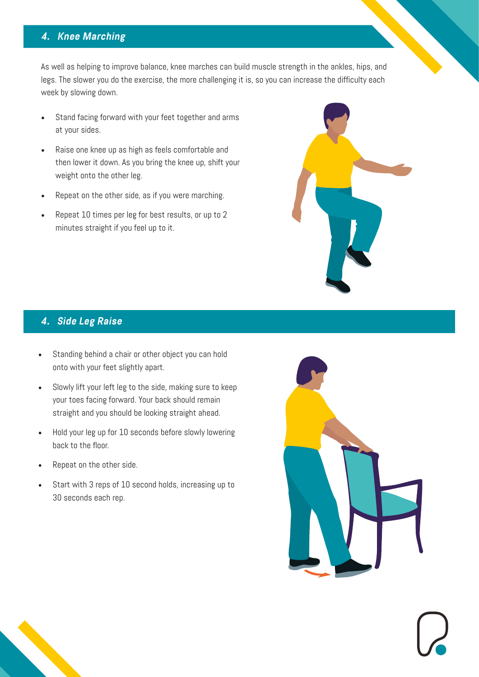#### **4. Knee Marching**

As well as helping to improve balance, knee marches can build muscle strength in the ankles, hips, and legs. The slower you do the exercise, the more challenging it is, so you can increase the difficulty each week by slowing down.

- Stand facing forward with your feet together and arms at your sides.
- Raise one knee up as high as feels comfortable and then lower it down. As you bring the knee up, shift your weight onto the other leg.
- Repeat on the other side, as if you were marching.
- Repeat 10 times per leg for best results, or up to 2 minutes straight if you feel up to it.



#### **4. Side Leg Raise**

- Standing behind a chair or other object you can hold onto with your feet slightly apart.
- Slowly lift your left leg to the side, making sure to keep your toes facing forward. Your back should remain straight and you should be looking straight ahead.
- Hold your leg up for 10 seconds before slowly lowering back to the floor.
- Repeat on the other side.
- Start with 3 reps of 10 second holds, increasing up to 30 seconds each rep.

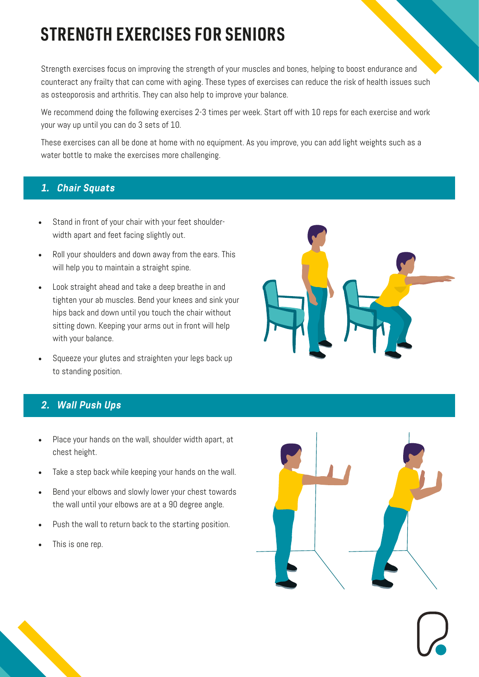## **STRENGTH EXERCISES FOR SENIORS**

Strength exercises focus on improving the strength of your muscles and bones, helping to boost endurance and counteract any frailty that can come with aging. These types of exercises can reduce the risk of health issues such as osteoporosis and arthritis. They can also help to improve your balance.

We recommend doing the following exercises 2-3 times per week. Start off with 10 reps for each exercise and work your way up until you can do 3 sets of 10.

These exercises can all be done at home with no equipment. As you improve, you can add light weights such as a water bottle to make the exercises more challenging.

#### **1. Chair Squats**

- Stand in front of your chair with your feet shoulderwidth apart and feet facing slightly out.
- Roll your shoulders and down away from the ears. This will help you to maintain a straight spine.
- Look straight ahead and take a deep breathe in and tighten your ab muscles. Bend your knees and sink your hips back and down until you touch the chair without sitting down. Keeping your arms out in front will help with your balance.
- Squeeze your glutes and straighten your legs back up to standing position.

### **2. Wall Push Ups**

- Place your hands on the wall, shoulder width apart, at chest height.
- Take a step back while keeping your hands on the wall.
- Bend your elbows and slowly lower your chest towards the wall until your elbows are at a 90 degree angle.
- Push the wall to return back to the starting position.
- This is one rep.